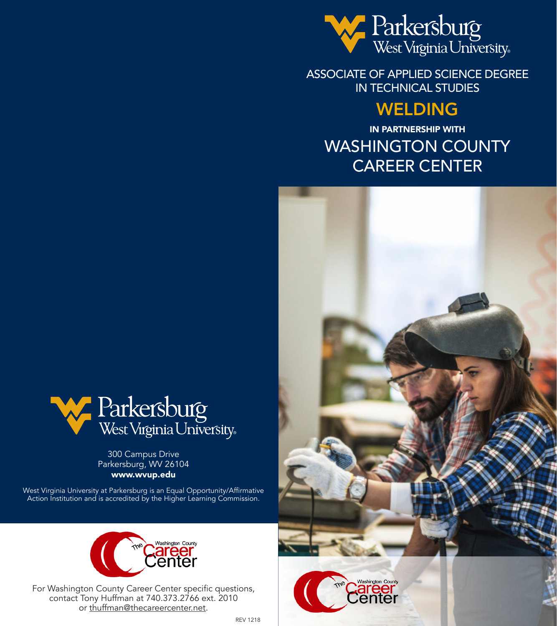

ASSOCIATE OF APPLIED SCIENCE DEGREE IN TECHNICAL STUDIES

# WELDING

IN PARTNERSHIP WITH WASHINGTON COUNTY CAREER CENTER



West Virginia University at Parkersburg is an Equal Opportunity/Affirmative Action Institution and is accredited by the Higher Learning Commission.



For Washington County Career Center specific questions, contact Tony Huffman at 740.373.2766 ext. 2010 or thuffman@thecareercenter.net.